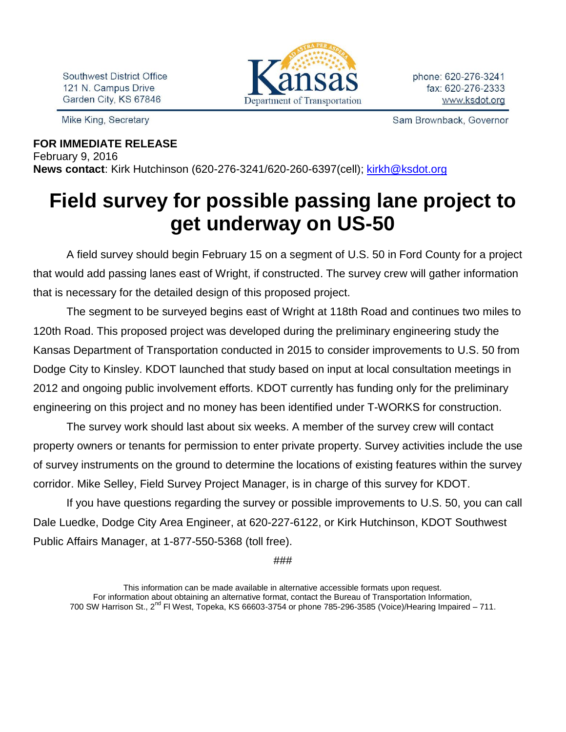Southwest District Office 121 N. Campus Drive Garden City, KS 67846

Mike King, Secretary



phone: 620-276-3241 fax: 620-276-2333 www.ksdot.org

Sam Brownback, Governor

## **FOR IMMEDIATE RELEASE** February 9, 2016 **News contact**: Kirk Hutchinson (620-276-3241/620-260-6397(cell); [kirkh@ksdot.org](mailto:kirkh@ksdot.org)

## **Field survey for possible passing lane project to get underway on US-50**

A field survey should begin February 15 on a segment of U.S. 50 in Ford County for a project that would add passing lanes east of Wright, if constructed. The survey crew will gather information that is necessary for the detailed design of this proposed project.

The segment to be surveyed begins east of Wright at 118th Road and continues two miles to 120th Road. This proposed project was developed during the preliminary engineering study the Kansas Department of Transportation conducted in 2015 to consider improvements to U.S. 50 from Dodge City to Kinsley. KDOT launched that study based on input at local consultation meetings in 2012 and ongoing public involvement efforts. KDOT currently has funding only for the preliminary engineering on this project and no money has been identified under T-WORKS for construction.

The survey work should last about six weeks. A member of the survey crew will contact property owners or tenants for permission to enter private property. Survey activities include the use of survey instruments on the ground to determine the locations of existing features within the survey corridor. Mike Selley, Field Survey Project Manager, is in charge of this survey for KDOT.

If you have questions regarding the survey or possible improvements to U.S. 50, you can call Dale Luedke, Dodge City Area Engineer, at 620-227-6122, or Kirk Hutchinson, KDOT Southwest Public Affairs Manager, at 1-877-550-5368 (toll free).

###

This information can be made available in alternative accessible formats upon request. For information about obtaining an alternative format, contact the Bureau of Transportation Information, 700 SW Harrison St., 2<sup>nd</sup> Fl West, Topeka, KS 66603-3754 or phone 785-296-3585 (Voice)/Hearing Impaired – 711.